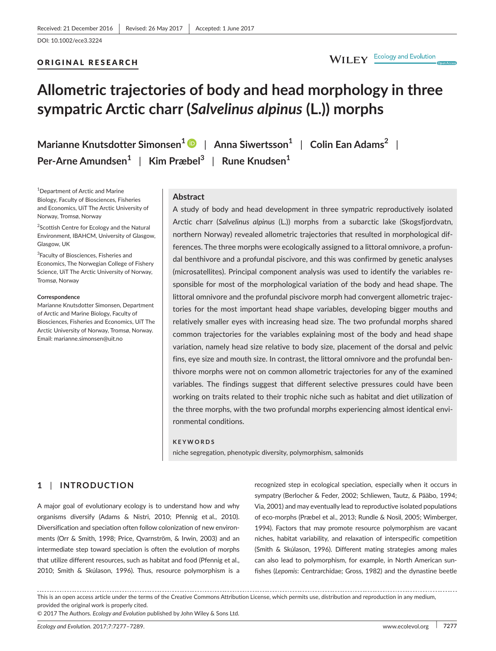#### ORIGINAL RESEARCH

# **Allometric trajectories of body and head morphology in three sympatric Arctic charr (***Salvelinus alpinus* **(L.)) morphs**

**Marianne Knutsdotter Simonsen<sup>1</sup>** | **Anna Siwertsson<sup>1</sup>** | **Colin Ean Adams<sup>2</sup>** | **Per-Arne Amundsen<sup>1</sup>** | **Kim Præbel<sup>3</sup>** | **Rune Knudsen<sup>1</sup>**

1 Department of Arctic and Marine Biology, Faculty of Biosciences, Fisheries and Economics, UiT The Arctic University of Norway, Tromsø, Norway

<sup>2</sup>Scottish Centre for Ecology and the Natural Environment, IBAHCM, University of Glasgow, Glasgow, UK

<sup>3</sup>Faculty of Biosciences, Fisheries and Economics, The Norwegian College of Fishery Science, UiT The Arctic University of Norway, Tromsø, Norway

#### **Correspondence**

Marianne Knutsdotter Simonsen, Department of Arctic and Marine Biology, Faculty of Biosciences, Fisheries and Economics, UiT The Arctic University of Norway, Tromsø, Norway. Email: [marianne.simonsen@uit.no](mailto:marianne.simonsen@uit.no)

#### **Abstract**

A study of body and head development in three sympatric reproductively isolated Arctic charr (*Salvelinus alpinus* (L.)) morphs from a subarctic lake (Skogsfjordvatn, northern Norway) revealed allometric trajectories that resulted in morphological differences. The three morphs were ecologically assigned to a littoral omnivore, a profundal benthivore and a profundal piscivore, and this was confirmed by genetic analyses (microsatellites). Principal component analysis was used to identify the variables responsible for most of the morphological variation of the body and head shape. The littoral omnivore and the profundal piscivore morph had convergent allometric trajectories for the most important head shape variables, developing bigger mouths and relatively smaller eyes with increasing head size. The two profundal morphs shared common trajectories for the variables explaining most of the body and head shape variation, namely head size relative to body size, placement of the dorsal and pelvic fins, eye size and mouth size. In contrast, the littoral omnivore and the profundal benthivore morphs were not on common allometric trajectories for any of the examined variables. The findings suggest that different selective pressures could have been working on traits related to their trophic niche such as habitat and diet utilization of the three morphs, with the two profundal morphs experiencing almost identical environmental conditions.

#### **KEYWORDS**

niche segregation, phenotypic diversity, polymorphism, salmonids

# **1** | **INTRODUCTION**

A major goal of evolutionary ecology is to understand how and why organisms diversify (Adams & Nistri, 2010; Pfennig et al., 2010). Diversification and speciation often follow colonization of new environments (Orr & Smith, 1998; Price, Qvarnström, & Irwin, 2003) and an intermediate step toward speciation is often the evolution of morphs that utilize different resources, such as habitat and food (Pfennig et al., 2010; Smith & Skúlason, 1996). Thus, resource polymorphism is a

recognized step in ecological speciation, especially when it occurs in sympatry (Berlocher & Feder, 2002; Schliewen, Tautz, & Pääbo, 1994; Via, 2001) and may eventually lead to reproductive isolated populations of eco-morphs (Præbel et al., 2013; Rundle & Nosil, 2005; Wimberger, 1994). Factors that may promote resource polymorphism are vacant niches, habitat variability, and relaxation of interspecific competition (Smith & Skúlason, 1996). Different mating strategies among males can also lead to polymorphism, for example, in North American sunfishes (*Lepomis*: Centrarchidae; Gross, 1982) and the dynastine beetle

This is an open access article under the terms of the Creative Commons [Attribution](http://creativecommons.org/licenses/by/4.0/) License, which permits use, distribution and reproduction in any medium, provided the original work is properly cited.

© 2017 The Authors. *Ecology and Evolution* published by John Wiley & Sons Ltd.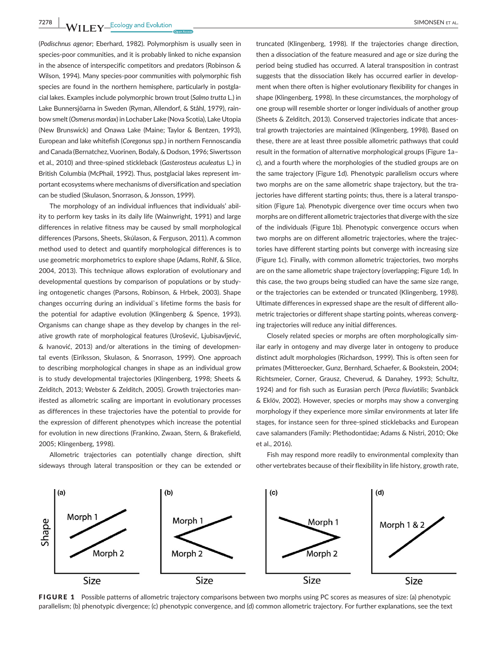**7278 WII FY** Ecology and Evolution **and Experiment Construction** SIMONSEN ET AL.

(*Podischnus agenor*; Eberhard, 1982). Polymorphism is usually seen in species-poor communities, and it is probably linked to niche expansion in the absence of interspecific competitors and predators (Robinson & Wilson, 1994). Many species-poor communities with polymorphic fish species are found in the northern hemisphere, particularly in postglacial lakes. Examples include polymorphic brown trout (*Salmo trutta* L.) in Lake Bunnersjöarna in Sweden (Ryman, Allendorf, & Ståhl, 1979), rainbowsmelt(*Osmerus mordax*) in Lochaber Lake (Nova Scotia), Lake Utopia (New Brunswick) and Onawa Lake (Maine; Taylor & Bentzen, 1993), European and lake whitefish (*Coregonus* spp.) in northern Fennoscandia and Canada (Bernatchez,Vuorinen, Bodaly, & Dodson, 1996; Siwertsson et al., 2010) and three-spined stickleback (*Gasterosteus aculeatus* L.) in British Columbia (McPhail, 1992). Thus, postglacial lakes represent important ecosystems where mechanisms of diversification and speciation can be studied (Skulason, Snorrason, & Jonsson, 1999).

The morphology of an individual influences that individuals' ability to perform key tasks in its daily life (Wainwright, 1991) and large differences in relative fitness may be caused by small morphological differences (Parsons, Sheets, Skúlason, & Ferguson, 2011). A common method used to detect and quantify morphological differences is to use geometric morphometrics to explore shape (Adams, Rohlf, & Slice, 2004, 2013). This technique allows exploration of evolutionary and developmental questions by comparison of populations or by studying ontogenetic changes (Parsons, Robinson, & Hrbek, 2003). Shape changes occurring during an individual`s lifetime forms the basis for the potential for adaptive evolution (Klingenberg & Spence, 1993). Organisms can change shape as they develop by changes in the relative growth rate of morphological features (Urošević, Ljubisavljević, & Ivanović, 2013) and/or alterations in the timing of developmental events (Eiríksson, Skulason, & Snorrason, 1999). One approach to describing morphological changes in shape as an individual grow is to study developmental trajectories (Klingenberg, 1998; Sheets & Zelditch, 2013; Webster & Zelditch, 2005). Growth trajectories manifested as allometric scaling are important in evolutionary processes as differences in these trajectories have the potential to provide for the expression of different phenotypes which increase the potential for evolution in new directions (Frankino, Zwaan, Stern, & Brakefield, 2005; Klingenberg, 1998).

Allometric trajectories can potentially change direction, shift sideways through lateral transposition or they can be extended or

truncated (Klingenberg, 1998). If the trajectories change direction, then a dissociation of the feature measured and age or size during the period being studied has occurred. A lateral transposition in contrast suggests that the dissociation likely has occurred earlier in development when there often is higher evolutionary flexibility for changes in shape (Klingenberg, 1998). In these circumstances, the morphology of one group will resemble shorter or longer individuals of another group (Sheets & Zelditch, 2013). Conserved trajectories indicate that ancestral growth trajectories are maintained (Klingenberg, 1998). Based on these, there are at least three possible allometric pathways that could result in the formation of alternative morphological groups (Figure 1a– c), and a fourth where the morphologies of the studied groups are on the same trajectory (Figure 1d). Phenotypic parallelism occurs where two morphs are on the same allometric shape trajectory, but the trajectories have different starting points; thus, there is a lateral transposition (Figure 1a). Phenotypic divergence over time occurs when two morphs are on different allometric trajectories that divergewith the size of the individuals (Figure 1b). Phenotypic convergence occurs when two morphs are on different allometric trajectories, where the trajectories have different starting points but converge with increasing size (Figure 1c). Finally, with common allometric trajectories, two morphs are on the same allometric shape trajectory (overlapping; Figure 1d). In this case, the two groups being studied can have the same size range, or the trajectories can be extended or truncated (Klingenberg, 1998). Ultimate differences in expressed shape are the result of different allometric trajectories or different shape starting points, whereas converging trajectories will reduce any initial differences.

Closely related species or morphs are often morphologically similar early in ontogeny and may diverge later in ontogeny to produce distinct adult morphologies (Richardson, 1999). This is often seen for primates (Mitteroecker, Gunz, Bernhard, Schaefer, & Bookstein, 2004; Richtsmeier, Corner, Grausz, Cheverud, & Danahey, 1993; Schultz, 1924) and for fish such as Eurasian perch (*Perca fluviatilis*; Svanbäck & Eklöv, 2002). However, species or morphs may show a converging morphology if they experience more similar environments at later life stages, for instance seen for three-spined sticklebacks and European cave salamanders (Family: Plethodontidae; Adams & Nistri, 2010; Oke et al., 2016).



Fish may respond more readily to environmental complexity than other vertebrates because of their flexibility in life history, growth rate,

FIGURE 1 Possible patterns of allometric trajectory comparisons between two morphs using PC scores as measures of size: (a) phenotypic parallelism; (b) phenotypic divergence; (c) phenotypic convergence, and (d) common allometric trajectory. For further explanations, see the text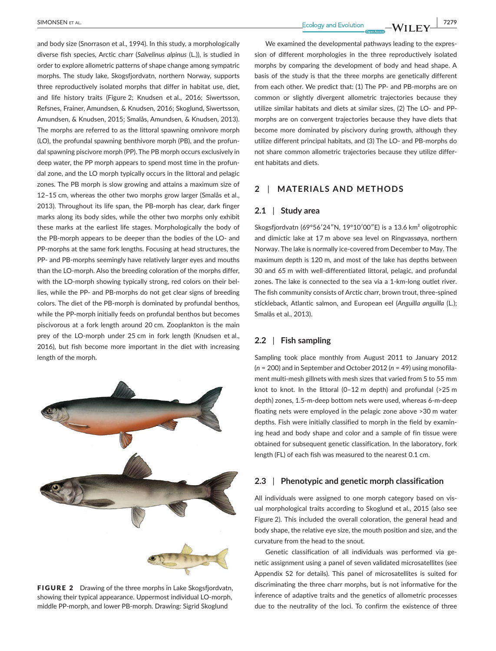and body size (Snorrason et al., 1994). In this study, a morphologically diverse fish species, Arctic charr (*Salvelinus alpinus* (L.)), is studied in order to explore allometric patterns of shape change among sympatric morphs. The study lake, Skogsfjordvatn, northern Norway, supports three reproductively isolated morphs that differ in habitat use, diet, and life history traits (Figure 2; Knudsen et al., 2016; Siwertsson, Refsnes, Frainer, Amundsen, & Knudsen, 2016; Skoglund, Siwertsson, Amundsen, & Knudsen, 2015; Smalås, Amundsen, & Knudsen, 2013). The morphs are referred to as the littoral spawning omnivore morph (LO), the profundal spawning benthivore morph (PB), and the profundal spawning piscivore morph (PP). The PB morph occurs exclusively in deep water, the PP morph appears to spend most time in the profundal zone, and the LO morph typically occurs in the littoral and pelagic zones. The PB morph is slow growing and attains a maximum size of 12–15 cm, whereas the other two morphs grow larger (Smalås et al., 2013). Throughout its life span, the PB-morph has clear, dark finger marks along its body sides, while the other two morphs only exhibit these marks at the earliest life stages. Morphologically the body of the PB-morph appears to be deeper than the bodies of the LO- and PP-morphs at the same fork lengths. Focusing at head structures, the PP- and PB-morphs seemingly have relatively larger eyes and mouths than the LO-morph. Also the breeding coloration of the morphs differ, with the LO-morph showing typically strong, red colors on their bellies, while the PP- and PB-morphs do not get clear signs of breeding colors. The diet of the PB-morph is dominated by profundal benthos, while the PP-morph initially feeds on profundal benthos but becomes piscivorous at a fork length around 20 cm. Zooplankton is the main prey of the LO-morph under 25 cm in fork length (Knudsen et al., 2016), but fish become more important in the diet with increasing length of the morph.



FIGURE 2 Drawing of the three morphs in Lake Skogsfjordvatn, showing their typical appearance. Uppermost individual LO-morph, middle PP-morph, and lower PB-morph. Drawing: Sigrid Skoglund

**Example 2018 EXECUTE:** THE EXECUTION CONTROL EXECUTION CONTROL EXECUTION CONTROL EXECUTION CONTROL EXECUTION CONTROL EXECUTION CONTROL EXECUTION CONTROL EXECUTION CONTROL EXECUTION CONTROL EXECUTION CONTROL EXECUTION CO

We examined the developmental pathways leading to the expression of different morphologies in the three reproductively isolated morphs by comparing the development of body and head shape. A basis of the study is that the three morphs are genetically different from each other. We predict that: (1) The PP- and PB-morphs are on common or slightly divergent allometric trajectories because they utilize similar habitats and diets at similar sizes, (2) The LO- and PPmorphs are on convergent trajectories because they have diets that become more dominated by piscivory during growth, although they utilize different principal habitats, and (3) The LO- and PB-morphs do not share common allometric trajectories because they utilize different habitats and diets.

# **2** | **MATERIALS AND METHODS**

#### **2.1** | **Study area**

Skogsfjordvatn (69°56'24"N, 19°10'00"E) is a 13.6 km<sup>2</sup> oligotrophic and dimictic lake at 17 m above sea level on Ringvassøya, northern Norway. The lake is normally ice-covered from December to May. The maximum depth is 120 m, and most of the lake has depths between 30 and 65 m with well-differentiated littoral, pelagic, and profundal zones. The lake is connected to the sea via a 1-km-long outlet river. The fish community consists of Arctic charr, brown trout, three-spined stickleback, Atlantic salmon, and European eel (*Anguilla anguilla* (L.); Smalås et al., 2013).

#### **2.2** | **Fish sampling**

Sampling took place monthly from August 2011 to January 2012 (*n* = 200) and in September and October 2012 (*n* = 49) using monofilament multi-mesh gillnets with mesh sizes that varied from 5 to 55 mm knot to knot. In the littoral (0–12 m depth) and profundal (>25 m depth) zones, 1.5-m-deep bottom nets were used, whereas 6-m-deep floating nets were employed in the pelagic zone above >30 m water depths. Fish were initially classified to morph in the field by examining head and body shape and color and a sample of fin tissue were obtained for subsequent genetic classification. In the laboratory, fork length (FL) of each fish was measured to the nearest 0.1 cm.

# **2.3** | **Phenotypic and genetic morph classification**

All individuals were assigned to one morph category based on visual morphological traits according to Skoglund et al., 2015 (also see Figure 2). This included the overall coloration, the general head and body shape, the relative eye size, the mouth position and size, and the curvature from the head to the snout.

Genetic classification of all individuals was performed via genetic assignment using a panel of seven validated microsatellites (see Appendix S2 for details). This panel of microsatellites is suited for discriminating the three charr morphs, but is not informative for the inference of adaptive traits and the genetics of allometric processes due to the neutrality of the loci. To confirm the existence of three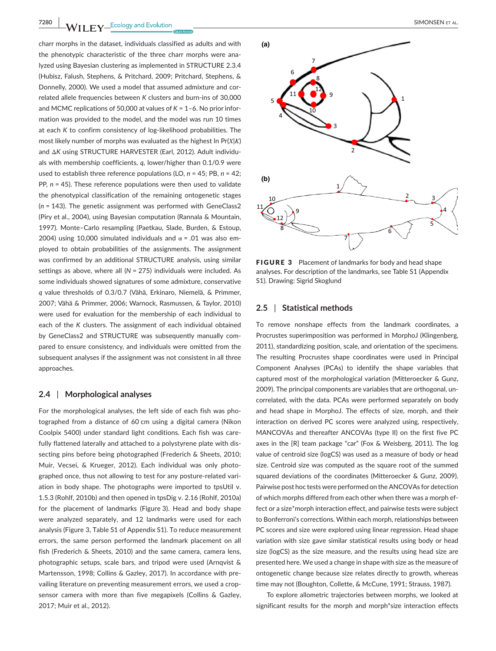**7280 |**  SIMONSEN et al.

charr morphs in the dataset, individuals classified as adults and with the phenotypic characteristic of the three charr morphs were analyzed using Bayesian clustering as implemented in STRUCTURE 2.3.4 (Hubisz, Falush, Stephens, & Pritchard, 2009; Pritchard, Stephens, & Donnelly, 2000). We used a model that assumed admixture and correlated allele frequencies between *K* clusters and burn-ins of 30,000 and MCMC replications of 50,000 at values of *K* = 1–6. No prior information was provided to the model, and the model was run 10 times at each *K* to confirm consistency of log-likelihood probabilities. The most likely number of morphs was evaluated as the highest ln Pr(*Χ*|*Κ*) and Δ*K* using STRUCTURE HARVESTER (Earl, 2012). Adult individuals with membership coefficients, *q*, lower/higher than 0.1/0.9 were used to establish three reference populations (LO, *n* = 45; PB, *n* = 42; PP,  $n = 45$ ). These reference populations were then used to validate the phenotypical classification of the remaining ontogenetic stages (*n* = 143). The genetic assignment was performed with GeneClass2 (Piry et al., 2004), using Bayesian computation (Rannala & Mountain, 1997). Monte–Carlo resampling (Paetkau, Slade, Burden, & Estoup, 2004) using 10,000 simulated individuals and  $\alpha$  = .01 was also employed to obtain probabilities of the assignments. The assignment was confirmed by an additional STRUCTURE analysis, using similar settings as above, where all (*N* = 275) individuals were included. As some individuals showed signatures of some admixture, conservative *q* value thresholds of 0.3/0.7 (Vähä, Erkinaro, Niemelä, & Primmer, 2007; Vähä & Primmer, 2006; Warnock, Rasmussen, & Taylor, 2010) were used for evaluation for the membership of each individual to each of the *K* clusters. The assignment of each individual obtained by GeneClass2 and STRUCTURE was subsequently manually compared to ensure consistency, and individuals were omitted from the subsequent analyses if the assignment was not consistent in all three approaches.

### **2.4** | **Morphological analyses**

For the morphological analyses, the left side of each fish was photographed from a distance of 60 cm using a digital camera (Nikon Coolpix 5400) under standard light conditions. Each fish was carefully flattened laterally and attached to a polystyrene plate with dissecting pins before being photographed (Frederich & Sheets, 2010; Muir, Vecsei, & Krueger, 2012). Each individual was only photographed once, thus not allowing to test for any posture-related variation in body shape. The photographs were imported to tpsUtil v. 1.5.3 (Rohlf, 2010b) and then opened in tpsDig v. 2.16 (Rohlf, 2010a) for the placement of landmarks (Figure 3). Head and body shape were analyzed separately, and 12 landmarks were used for each analysis (Figure 3, Table S1 of Appendix S1). To reduce measurement errors, the same person performed the landmark placement on all fish (Frederich & Sheets, 2010) and the same camera, camera lens, photographic setups, scale bars, and tripod were used (Arnqvist & Martensson, 1998; Collins & Gazley, 2017). In accordance with prevailing literature on preventing measurement errors, we used a cropsensor camera with more than five megapixels (Collins & Gazley, 2017; Muir et al., 2012).



FIGURE 3 Placement of landmarks for body and head shape analyses. For description of the landmarks, see Table S1 (Appendix S1). Drawing: Sigrid Skoglund

#### **2.5** | **Statistical methods**

To remove nonshape effects from the landmark coordinates, a Procrustes superimposition was performed in MorphoJ (Klingenberg, 2011), standardizing position, scale, and orientation of the specimens. The resulting Procrustes shape coordinates were used in Principal Component Analyses (PCAs) to identify the shape variables that captured most of the morphological variation (Mitteroecker & Gunz, 2009). The principal components are variables that are orthogonal, uncorrelated, with the data. PCAs were performed separately on body and head shape in MorphoJ. The effects of size, morph, and their interaction on derived PC scores were analyzed using, respectively, MANCOVAs and thereafter ANCOVAs (type II) on the first five PC axes in the [R] team package "car" (Fox & Weisberg, 2011). The log value of centroid size (logCS) was used as a measure of body or head size. Centroid size was computed as the square root of the summed squared deviations of the coordinates (Mitteroecker & Gunz, 2009). Pairwise post hoc tests were performed on theANCOVAs for detection of which morphs differed from each other when there was a morph effect or a size\*morph interaction effect, and pairwise tests were subject to Bonferroni's corrections. Within each morph, relationships between PC scores and size were explored using linear regression. Head shape variation with size gave similar statistical results using body or head size (logCS) as the size measure, and the results using head size are presented here. We used a change in shape with size as the measure of ontogenetic change because size relates directly to growth, whereas time may not (Boughton, Collette, & McCune, 1991; Strauss, 1987).

To explore allometric trajectories between morphs, we looked at significant results for the morph and morph\*size interaction effects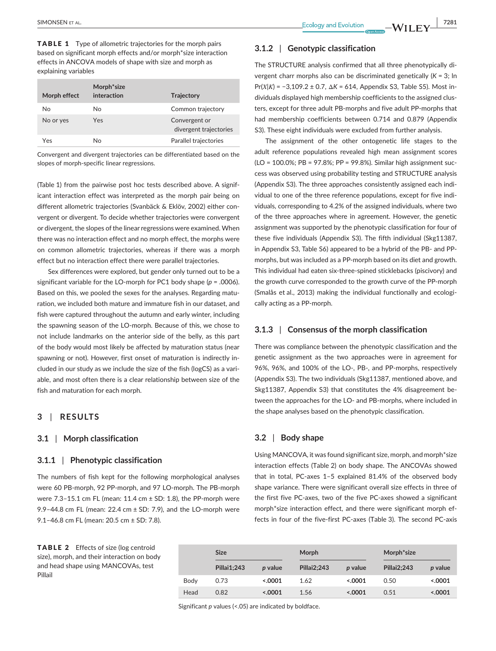TABLE 1 Type of allometric trajectories for the morph pairs based on significant morph effects and/or morph\*size interaction effects in ANCOVA models of shape with size and morph as explaining variables

| Morph effect | Morph <sup>*</sup> size<br>interaction | <b>Trajectory</b>                       |
|--------------|----------------------------------------|-----------------------------------------|
| No           | N٥                                     | Common trajectory                       |
| No or yes    | Yes                                    | Convergent or<br>divergent trajectories |
| Yes          | N٥                                     | Parallel trajectories                   |

Convergent and divergent trajectories can be differentiated based on the slopes of morph-specific linear regressions.

(Table 1) from the pairwise post hoc tests described above. A significant interaction effect was interpreted as the morph pair being on different allometric trajectories (Svanbäck & Eklöv, 2002) either convergent or divergent. To decide whether trajectories were convergent or divergent, the slopes of the linear regressions were examined. When there was no interaction effect and no morph effect, the morphs were on common allometric trajectories, whereas if there was a morph effect but no interaction effect there were parallel trajectories.

Sex differences were explored, but gender only turned out to be a significant variable for the LO-morph for PC1 body shape (*p* = .0006). Based on this, we pooled the sexes for the analyses. Regarding maturation, we included both mature and immature fish in our dataset, and fish were captured throughout the autumn and early winter, including the spawning season of the LO-morph. Because of this, we chose to not include landmarks on the anterior side of the belly, as this part of the body would most likely be affected by maturation status (near spawning or not). However, first onset of maturation is indirectly included in our study as we include the size of the fish (logCS) as a variable, and most often there is a clear relationship between size of the fish and maturation for each morph.

## **3** | **RESULTS**

#### **3.1** | **Morph classification**

## **3.1.1** | **Phenotypic classification**

The numbers of fish kept for the following morphological analyses were 60 PB-morph, 92 PP-morph, and 97 LO-morph. The PB-morph were  $7.3-15.1$  cm FL (mean:  $11.4$  cm  $\pm$  SD: 1.8), the PP-morph were 9.9–44.8 cm FL (mean: 22.4 cm ± SD: 7.9), and the LO-morph were 9.1–46.8 cm FL (mean: 20.5 cm ± SD: 7.8).

TABLE 2 Effects of size (log centroid size), morph, and their interaction on body and head shape using MANCOVAs, test Pillail

| <b>Size</b> |                | Morph              |                | Morph <sup>*</sup> size |          |
|-------------|----------------|--------------------|----------------|-------------------------|----------|
| Pillai1;243 | <i>p</i> value | <b>Pillai2:243</b> | <i>p</i> value | Pillai2;243             | p value  |
| 0.73        | < .0001        | 1.62               | 0001           | 0.50                    | < 0.0001 |
| 0.82        | < .0001        | 1.56               | 0.0001         | 0.51                    | < .0001  |
|             |                |                    |                |                         |          |

**3.1.2** | **Genotypic classification**

The STRUCTURE analysis confirmed that all three phenotypically divergent charr morphs also can be discriminated genetically (*K* = 3; ln Pr(*Χ*|*Κ*) = −3,109.2 ± 0.7, Δ*K* = 614, Appendix S3, Table S5). Most individuals displayed high membership coefficients to the assigned clusters, except for three adult PB-morphs and five adult PP-morphs that had membership coefficients between 0.714 and 0.879 (Appendix S3). These eight individuals were excluded from further analysis.

The assignment of the other ontogenetic life stages to the adult reference populations revealed high mean assignment scores (LO = 100.0%; PB = 97.8%; PP = 99.8%). Similar high assignment success was observed using probability testing and STRUCTURE analysis (Appendix S3). The three approaches consistently assigned each individual to one of the three reference populations, except for five individuals, corresponding to 4.2% of the assigned individuals, where two of the three approaches where in agreement. However, the genetic assignment was supported by the phenotypic classification for four of these five individuals (Appendix S3). The fifth individual (Skg11387, in Appendix S3, Table S6) appeared to be a hybrid of the PB- and PPmorphs, but was included as a PP-morph based on its diet and growth. This individual had eaten six-three-spined sticklebacks (piscivory) and the growth curve corresponded to the growth curve of the PP-morph (Smalås et al., 2013) making the individual functionally and ecologically acting as a PP-morph.

## **3.1.3** | **Consensus of the morph classification**

There was compliance between the phenotypic classification and the genetic assignment as the two approaches were in agreement for 96%, 96%, and 100% of the LO-, PB-, and PP-morphs, respectively (Appendix S3). The two individuals (Skg11387, mentioned above, and Skg11387, Appendix S3) that constitutes the 4% disagreement between the approaches for the LO- and PB-morphs, where included in the shape analyses based on the phenotypic classification.

## **3.2** | **Body shape**

Using MANCOVA, it was found significant size, morph, and morph\*size interaction effects (Table 2) on body shape. The ANCOVAs showed that in total, PC-axes 1–5 explained 81.4% of the observed body shape variance. There were significant overall size effects in three of the first five PC-axes, two of the five PC-axes showed a significant morph\*size interaction effect, and there were significant morph effects in four of the five-first PC-axes (Table 3). The second PC-axis

Significant *p* values (<.05) are indicated by boldface.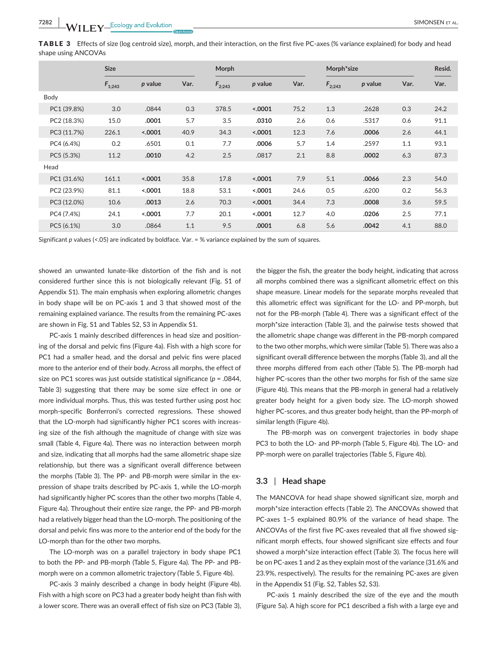TABLE 3 Effects of size (log centroid size), morph, and their interaction, on the first five PC-axes (% variance explained) for body and head shape using ANCOVAs

|             | <b>Size</b> |         |      | Morph       |         |      |             | Morph*size |      |      |
|-------------|-------------|---------|------|-------------|---------|------|-------------|------------|------|------|
|             | $F_{1;243}$ | p value | Var. | $F_{2;243}$ | p value | Var. | $F_{2;243}$ | p value    | Var. | Var. |
| Body        |             |         |      |             |         |      |             |            |      |      |
| PC1 (39.8%) | 3.0         | .0844   | 0.3  | 378.5       | < .0001 | 75.2 | 1.3         | .2628      | 0.3  | 24.2 |
| PC2 (18.3%) | 15.0        | .0001   | 5.7  | 3.5         | .0310   | 2.6  | 0.6         | .5317      | 0.6  | 91.1 |
| PC3 (11.7%) | 226.1       | < .0001 | 40.9 | 34.3        | < .0001 | 12.3 | 7.6         | .0006      | 2.6  | 44.1 |
| PC4 (6.4%)  | 0.2         | .6501   | 0.1  | 7.7         | .0006   | 5.7  | 1.4         | .2597      | 1.1  | 93.1 |
| PC5 (5.3%)  | 11.2        | .0010   | 4.2  | 2.5         | .0817   | 2.1  | 8.8         | .0002      | 6.3  | 87.3 |
| Head        |             |         |      |             |         |      |             |            |      |      |
| PC1 (31.6%) | 161.1       | < .0001 | 35.8 | 17.8        | < .0001 | 7.9  | 5.1         | .0066      | 2.3  | 54.0 |
| PC2 (23.9%) | 81.1        | < .0001 | 18.8 | 53.1        | < .0001 | 24.6 | 0.5         | .6200      | 0.2  | 56.3 |
| PC3 (12.0%) | 10.6        | .0013   | 2.6  | 70.3        | < .0001 | 34.4 | 7.3         | .0008      | 3.6  | 59.5 |
| PC4 (7.4%)  | 24.1        | < .0001 | 7.7  | 20.1        | < .0001 | 12.7 | 4.0         | .0206      | 2.5  | 77.1 |
| PC5 (6.1%)  | 3.0         | .0864   | 1.1  | 9.5         | .0001   | 6.8  | 5.6         | .0042      | 4.1  | 88.0 |

Significant *p* values (<.05) are indicated by boldface. Var. = % variance explained by the sum of squares.

showed an unwanted lunate-like distortion of the fish and is not considered further since this is not biologically relevant (Fig. S1 of Appendix S1). The main emphasis when exploring allometric changes in body shape will be on PC-axis 1 and 3 that showed most of the remaining explained variance. The results from the remaining PC-axes are shown in Fig. S1 and Tables S2, S3 in Appendix S1.

PC-axis 1 mainly described differences in head size and positioning of the dorsal and pelvic fins (Figure 4a). Fish with a high score for PC1 had a smaller head, and the dorsal and pelvic fins were placed more to the anterior end of their body. Across all morphs, the effect of size on PC1 scores was just outside statistical significance (*p* = .0844, Table 3) suggesting that there may be some size effect in one or more individual morphs. Thus, this was tested further using post hoc morph-specific Bonferroni's corrected regressions. These showed that the LO-morph had significantly higher PC1 scores with increasing size of the fish although the magnitude of change with size was small (Table 4, Figure 4a). There was no interaction between morph and size, indicating that all morphs had the same allometric shape size relationship, but there was a significant overall difference between the morphs (Table 3). The PP- and PB-morph were similar in the expression of shape traits described by PC-axis 1, while the LO-morph had significantly higher PC scores than the other two morphs (Table 4, Figure 4a). Throughout their entire size range, the PP- and PB-morph had a relatively bigger head than the LO-morph. The positioning of the dorsal and pelvic fins was more to the anterior end of the body for the LO-morph than for the other two morphs.

The LO-morph was on a parallel trajectory in body shape PC1 to both the PP- and PB-morph (Table 5, Figure 4a). The PP- and PBmorph were on a common allometric trajectory (Table 5, Figure 4b).

PC-axis 3 mainly described a change in body height (Figure 4b). Fish with a high score on PC3 had a greater body height than fish with a lower score. There was an overall effect of fish size on PC3 (Table 3),

the bigger the fish, the greater the body height, indicating that across all morphs combined there was a significant allometric effect on this shape measure. Linear models for the separate morphs revealed that this allometric effect was significant for the LO- and PP-morph, but not for the PB-morph (Table 4). There was a significant effect of the morph\*size interaction (Table 3), and the pairwise tests showed that the allometric shape change was different in the PB-morph compared to the two other morphs, which were similar (Table 5). There was also a significant overall difference between the morphs (Table 3), and all the three morphs differed from each other (Table 5). The PB-morph had higher PC-scores than the other two morphs for fish of the same size (Figure 4b). This means that the PB-morph in general had a relatively greater body height for a given body size. The LO-morph showed higher PC-scores, and thus greater body height, than the PP-morph of similar length (Figure 4b).

The PB-morph was on convergent trajectories in body shape PC3 to both the LO- and PP-morph (Table 5, Figure 4b). The LO- and PP-morph were on parallel trajectories (Table 5, Figure 4b).

#### **3.3** | **Head shape**

The MANCOVA for head shape showed significant size, morph and morph\*size interaction effects (Table 2). The ANCOVAs showed that PC-axes 1–5 explained 80.9% of the variance of head shape. The ANCOVAs of the first five PC-axes revealed that all five showed significant morph effects, four showed significant size effects and four showed a morph\*size interaction effect (Table 3). The focus here will be on PC-axes 1 and 2 as they explain most of the variance (31.6% and 23.9%, respectively). The results for the remaining PC-axes are given in the Appendix S1 (Fig. S2, Tables S2, S3).

PC-axis 1 mainly described the size of the eye and the mouth (Figure 5a). A high score for PC1 described a fish with a large eye and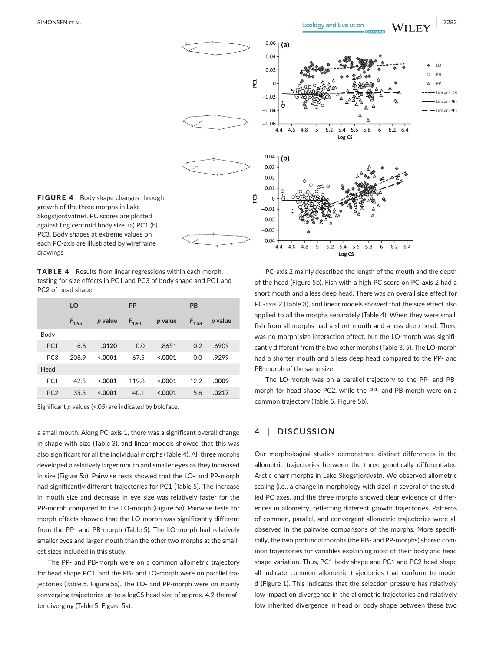

FIGURE 4 Body shape changes through growth of the three morphs in Lake Skogsfjordvatnet. PC scores are plotted against Log centroid body size. (a) PC1 (b) PC3. Body shapes at extreme values on each PC-axis are illustrated by wireframe drawings

TABLE 4 Results from linear regressions within each morph, testing for size effects in PC1 and PC3 of body shape and PC1 and PC2 of head shape

|                 | LO         |         | PP         |          | PB         |         |  |
|-----------------|------------|---------|------------|----------|------------|---------|--|
|                 | $F_{1:95}$ | p value | $F_{1;90}$ | p value  | $F_{1,58}$ | p value |  |
| Body            |            |         |            |          |            |         |  |
| PC <sub>1</sub> | 6.6        | .0120   | 0.0        | .8651    | 0.2        | .6909   |  |
| PC <sub>3</sub> | 208.9      | < 0.001 | 67.5       | < 0.001  | 0.0        | .9299   |  |
| Head            |            |         |            |          |            |         |  |
| PC <sub>1</sub> | 42.5       | < 0.001 | 119.8      | < 0.0001 | 12.2       | .0009   |  |
| PC <sub>2</sub> | 35.5       | < 0.001 | 40.1       | < 0.001  | 5.6        | .0217   |  |

Significant *p* values (<.05) are indicated by boldface.

a small mouth. Along PC-axis 1, there was a significant overall change in shape with size (Table 3), and linear models showed that this was also significant for all the individual morphs (Table 4). All three morphs developed a relatively larger mouth and smaller eyes as they increased in size (Figure 5a). Pairwise tests showed that the LO- and PP-morph had significantly different trajectories for PC1 (Table 5). The increase in mouth size and decrease in eye size was relatively faster for the PP-morph compared to the LO-morph (Figure 5a). Pairwise tests for morph effects showed that the LO-morph was significantly different from the PP- and PB-morph (Table 5). The LO-morph had relatively smaller eyes and larger mouth than the other two morphs at the smallest sizes included in this study.

The PP- and PB-morph were on a common allometric trajectory for head shape PC1, and the PB- and LO-morph were on parallel trajectories (Table 5, Figure 5a). The LO- and PP-morph were on mainly converging trajectories up to a logCS head size of approx. 4.2 thereafter diverging (Table 5, Figure 5a).

PC-axis 2 mainly described the length of the mouth and the depth of the head (Figure 5b). Fish with a high PC score on PC-axis 2 had a short mouth and a less deep head. There was an overall size effect for PC-axis 2 (Table 3), and linear models showed that the size effect also applied to all the morphs separately (Table 4). When they were small, fish from all morphs had a short mouth and a less deep head. There was no morph\*size interaction effect, but the LO-morph was significantly different from the two other morphs (Table 3, 5). The LO-morph had a shorter mouth and a less deep head compared to the PP- and PB-morph of the same size.

The LO-morph was on a parallel trajectory to the PP- and PBmorph for head shape PC2, while the PP- and PB-morph were on a common trajectory (Table 5, Figure 5b).

# **4** | **DISCUSSION**

Our morphological studies demonstrate distinct differences in the allometric trajectories between the three genetically differentiated Arctic charr morphs in Lake Skogsfjordvatn. We observed allometric scaling (i.e., a change in morphology with size) in several of the studied PC axes, and the three morphs showed clear evidence of differences in allometry, reflecting different growth trajectories. Patterns of common, parallel, and convergent allometric trajectories were all observed in the pairwise comparisons of the morphs. More specifically, the two profundal morphs (the PB- and PP-morphs) shared common trajectories for variables explaining most of their body and head shape variation. Thus, PC1 body shape and PC1 and PC2 head shape all indicate common allometric trajectories that conform to model d (Figure 1). This indicates that the selection pressure has relatively low impact on divergence in the allometric trajectories and relatively low inherited divergence in head or body shape between these two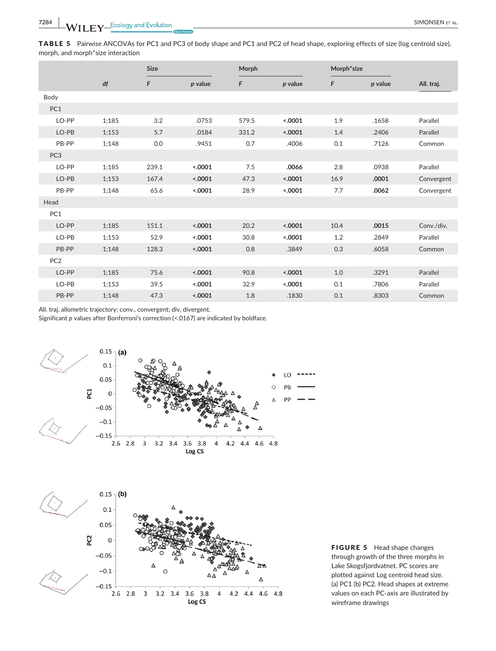TABLE 5 Pairwise ANCOVAs for PC1 and PC3 of body shape and PC1 and PC2 of head shape, exploring effects of size (log centroid size), morph, and morph\*size interaction

|                 |       | <b>Size</b> |         |       | Morph   |      | Morph*size |            |
|-----------------|-------|-------------|---------|-------|---------|------|------------|------------|
|                 | df    | F           | p value | F     | p value | F    | p value    | All. traj. |
| Body            |       |             |         |       |         |      |            |            |
| PC1             |       |             |         |       |         |      |            |            |
| LO-PP           | 1;185 | 3.2         | .0753   | 579.5 | < .0001 | 1.9  | .1658      | Parallel   |
| LO-PB           | 1:153 | 5.7         | .0184   | 331.2 | < .0001 | 1.4  | .2406      | Parallel   |
| PB-PP           | 1:148 | 0.0         | .9451   | 0.7   | .4006   | 0.1  | .7126      | Common     |
| PC <sub>3</sub> |       |             |         |       |         |      |            |            |
| LO-PP           | 1;185 | 239.1       | < .0001 | 7.5   | .0066   | 2.8  | .0938      | Parallel   |
| LO-PB           | 1;153 | 167.4       | < .0001 | 47.3  | < .0001 | 16.9 | .0001      | Convergent |
| PB-PP           | 1:148 | 65.6        | < .0001 | 28.9  | < .0001 | 7.7  | .0062      | Convergent |
| Head            |       |             |         |       |         |      |            |            |
| PC1             |       |             |         |       |         |      |            |            |
| LO-PP           | 1;185 | 151.1       | < .0001 | 20.2  | < .0001 | 10.4 | .0015      | Conv./div. |
| LO-PB           | 1;153 | 52.9        | < .0001 | 30.8  | < .0001 | 1.2  | .2849      | Parallel   |
| PB-PP           | 1:148 | 128.3       | < .0001 | 0.8   | .3849   | 0.3  | .6058      | Common     |
| PC <sub>2</sub> |       |             |         |       |         |      |            |            |
| LO-PP           | 1;185 | 75.6        | < .0001 | 90.8  | < .0001 | 1.0  | .3291      | Parallel   |
| LO-PB           | 1;153 | 39.5        | < .0001 | 32.9  | < .0001 | 0.1  | .7806      | Parallel   |
| PB-PP           | 1:148 | 47.3        | < .0001 | 1.8   | .1830   | 0.1  | .8303      | Common     |

All. traj, allometric trajectory; conv., convergent; div, divergent.

Significant *p* values after Bonferroni's correction (<.0167) are indicated by boldface.



FIGURE 5 Head shape changes through growth of the three morphs in Lake Skogsfjordvatnet. PC scores are plotted against Log centroid head size. (a) PC1 (b) PC2. Head shapes at extreme values on each PC-axis are illustrated by wireframe drawings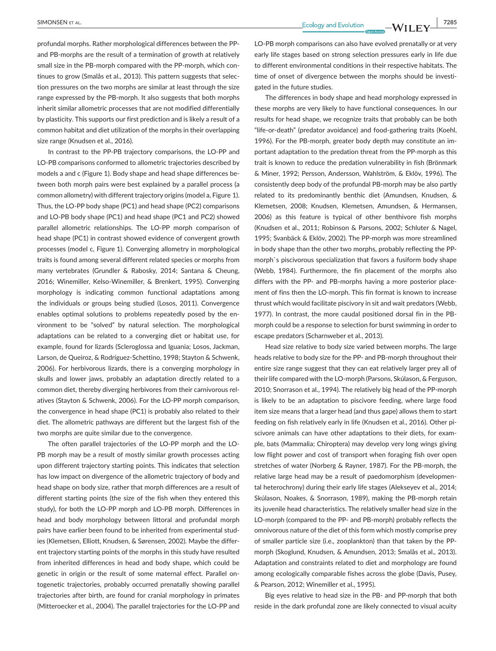profundal morphs. Rather morphological differences between the PP and PB-morphs are the result of a termination of growth at relatively small size in the PB-morph compared with the PP-morph, which continues to grow (Smalås et al., 2013). This pattern suggests that selection pressures on the two morphs are similar at least through the size range expressed by the PB-morph. It also suggests that both morphs inherit similar allometric processes that are not modified differentially by plasticity. This supports our first prediction and is likely a result of a common habitat and diet utilization of the morphs in their overlapping size range (Knudsen et al., 2016).

In contrast to the PP-PB trajectory comparisons, the LO-PP and LO-PB comparisons conformed to allometric trajectories described by models a and c (Figure 1). Body shape and head shape differences between both morph pairs were best explained by a parallel process (a common allometry) with different trajectory origins (model a, Figure 1). Thus, the LO-PP body shape (PC1) and head shape (PC2) comparisons and LO-PB body shape (PC1) and head shape (PC1 and PC2) showed parallel allometric relationships. The LO-PP morph comparison of head shape (PC1) in contrast showed evidence of convergent growth processes (model c, Figure 1). Converging allometry in morphological traits is found among several different related species or morphs from many vertebrates (Grundler & Rabosky, 2014; Santana & Cheung, 2016; Winemiller, Kelso-Winemiller, & Brenkert, 1995). Converging morphology is indicating common functional adaptations among the individuals or groups being studied (Losos, 2011). Convergence enables optimal solutions to problems repeatedly posed by the environment to be "solved" by natural selection. The morphological adaptations can be related to a converging diet or habitat use, for example, found for lizards (Scleroglossa and Iguania; Losos, Jackman, Larson, de Queiroz, & Rodríguez-Schettino, 1998; Stayton & Schwenk, 2006). For herbivorous lizards, there is a converging morphology in skulls and lower jaws, probably an adaptation directly related to a common diet, thereby diverging herbivores from their carnivorous relatives (Stayton & Schwenk, 2006). For the LO-PP morph comparison, the convergence in head shape (PC1) is probably also related to their diet. The allometric pathways are different but the largest fish of the two morphs are quite similar due to the convergence.

The often parallel trajectories of the LO-PP morph and the LO-PB morph may be a result of mostly similar growth processes acting upon different trajectory starting points. This indicates that selection has low impact on divergence of the allometric trajectory of body and head shape on body size, rather that morph differences are a result of different starting points (the size of the fish when they entered this study), for both the LO-PP morph and LO-PB morph. Differences in head and body morphology between littoral and profundal morph pairs have earlier been found to be inherited from experimental studies (Klemetsen, Elliott, Knudsen, & Sørensen, 2002). Maybe the different trajectory starting points of the morphs in this study have resulted from inherited differences in head and body shape, which could be genetic in origin or the result of some maternal effect. Parallel ontogenetic trajectories, probably occurred prenatally showing parallel trajectories after birth, are found for cranial morphology in primates (Mitteroecker et al., 2004). The parallel trajectories for the LO-PP and LO-PB morph comparisons can also have evolved prenatally or at very early life stages based on strong selection pressures early in life due to different environmental conditions in their respective habitats. The time of onset of divergence between the morphs should be investigated in the future studies.

The differences in body shape and head morphology expressed in these morphs are very likely to have functional consequences. In our results for head shape, we recognize traits that probably can be both "life-or-death" (predator avoidance) and food-gathering traits (Koehl, 1996). For the PB-morph, greater body depth may constitute an important adaptation to the predation threat from the PP-morph as this trait is known to reduce the predation vulnerability in fish (Brönmark & Miner, 1992; Persson, Andersson, Wahlström, & Eklöv, 1996). The consistently deep body of the profundal PB-morph may be also partly related to its predominantly benthic diet (Amundsen, Knudsen, & Klemetsen, 2008; Knudsen, Klemetsen, Amundsen, & Hermansen, 2006) as this feature is typical of other benthivore fish morphs (Knudsen et al., 2011; Robinson & Parsons, 2002; Schluter & Nagel, 1995; Svanbäck & Eklöv, 2002). The PP-morph was more streamlined in body shape than the other two morphs, probably reflecting the PPmorph`s piscivorous specialization that favors a fusiform body shape (Webb, 1984). Furthermore, the fin placement of the morphs also differs with the PP- and PB-morphs having a more posterior placement of fins then the LO-morph. This fin format is known to increase thrust which would facilitate piscivory in sit and wait predators (Webb, 1977). In contrast, the more caudal positioned dorsal fin in the PBmorph could be a response to selection for burst swimming in order to escape predators (Scharnweber et al., 2013).

Head size relative to body size varied between morphs. The large heads relative to body size for the PP- and PB-morph throughout their entire size range suggest that they can eat relatively larger prey all of their life compared with the LO-morph (Parsons, Skúlason, & Ferguson, 2010; Snorrason et al., 1994). The relatively big head of the PP-morph is likely to be an adaptation to piscivore feeding, where large food item size means that a larger head (and thus gape) allows them to start feeding on fish relatively early in life (Knudsen et al., 2016). Other piscivore animals can have other adaptations to their diets, for example, bats (Mammalia; Chiroptera) may develop very long wings giving low flight power and cost of transport when foraging fish over open stretches of water (Norberg & Rayner, 1987). For the PB-morph, the relative large head may be a result of paedomorphism (developmental heterochrony) during their early life stages (Alekseyev et al., 2014; Skúlason, Noakes, & Snorrason, 1989), making the PB-morph retain its juvenile head characteristics. The relatively smaller head size in the LO-morph (compared to the PP- and PB-morph) probably reflects the omnivorous nature of the diet of this form which mostly comprise prey of smaller particle size (i.e., zooplankton) than that taken by the PPmorph (Skoglund, Knudsen, & Amundsen, 2013; Smalås et al., 2013). Adaptation and constraints related to diet and morphology are found among ecologically comparable fishes across the globe (Davis, Pusey, & Pearson, 2012; Winemiller et al., 1995).

Big eyes relative to head size in the PB- and PP-morph that both reside in the dark profundal zone are likely connected to visual acuity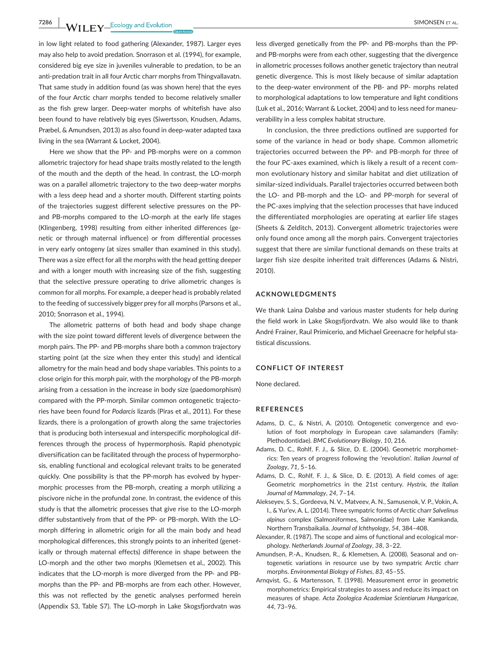**7286 WII FY** Ecology and Evolution **and Experiment Construction** SIMONSEN ET AL.

in low light related to food gathering (Alexander, 1987). Larger eyes may also help to avoid predation. Snorrason et al. (1994), for example, considered big eye size in juveniles vulnerable to predation, to be an anti-predation trait in all four Arctic charr morphs from Thingvallavatn. That same study in addition found (as was shown here) that the eyes of the four Arctic charr morphs tended to become relatively smaller as the fish grew larger. Deep-water morphs of whitefish have also been found to have relatively big eyes (Siwertsson, Knudsen, Adams, Præbel, & Amundsen, 2013) as also found in deep-water adapted taxa living in the sea (Warrant & Locket, 2004).

Here we show that the PP- and PB-morphs were on a common allometric trajectory for head shape traits mostly related to the length of the mouth and the depth of the head. In contrast, the LO-morph was on a parallel allometric trajectory to the two deep-water morphs with a less deep head and a shorter mouth. Different starting points of the trajectories suggest different selective pressures on the PPand PB-morphs compared to the LO-morph at the early life stages (Klingenberg, 1998) resulting from either inherited differences (genetic or through maternal influence) or from differential processes in very early ontogeny (at sizes smaller than examined in this study). There was a size effect for all the morphs with the head getting deeper and with a longer mouth with increasing size of the fish, suggesting that the selective pressure operating to drive allometric changes is common for all morphs. For example, a deeper head is probably related to the feeding of successively bigger prey for all morphs (Parsons et al., 2010; Snorrason et al., 1994).

The allometric patterns of both head and body shape change with the size point toward different levels of divergence between the morph pairs. The PP- and PB-morphs share both a common trajectory starting point (at the size when they enter this study) and identical allometry for the main head and body shape variables. This points to a close origin for this morph pair, with the morphology of the PB-morph arising from a cessation in the increase in body size (paedomorphism) compared with the PP-morph. Similar common ontogenetic trajectories have been found for *Podarcis* lizards (Piras et al., 2011). For these lizards, there is a prolongation of growth along the same trajectories that is producing both intersexual and interspecific morphological differences through the process of hypermorphosis. Rapid phenotypic diversification can be facilitated through the process of hypermorphosis, enabling functional and ecological relevant traits to be generated quickly. One possibility is that the PP-morph has evolved by hypermorphic processes from the PB-morph, creating a morph utilizing a piscivore niche in the profundal zone. In contrast, the evidence of this study is that the allometric processes that give rise to the LO-morph differ substantively from that of the PP- or PB-morph. With the LOmorph differing in allometric origin for all the main body and head morphological differences, this strongly points to an inherited (genetically or through maternal effects) difference in shape between the LO-morph and the other two morphs (Klemetsen et al., 2002). This indicates that the LO-morph is more diverged from the PP- and PBmorphs than the PP- and PB-morphs are from each other. However, this was not reflected by the genetic analyses performed herein (Appendix S3, Table S7). The LO-morph in Lake Skogsfjordvatn was

less diverged genetically from the PP- and PB-morphs than the PPand PB-morphs were from each other, suggesting that the divergence in allometric processes follows another genetic trajectory than neutral genetic divergence. This is most likely because of similar adaptation to the deep-water environment of the PB- and PP- morphs related to morphological adaptations to low temperature and light conditions (Luk et al., 2016; Warrant & Locket, 2004) and to less need for maneuverability in a less complex habitat structure.

In conclusion, the three predictions outlined are supported for some of the variance in head or body shape. Common allometric trajectories occurred between the PP- and PB-morph for three of the four PC-axes examined, which is likely a result of a recent common evolutionary history and similar habitat and diet utilization of similar-sized individuals. Parallel trajectories occurred between both the LO- and PB-morph and the LO- and PP-morph for several of the PC-axes implying that the selection processes that have induced the differentiated morphologies are operating at earlier life stages (Sheets & Zelditch, 2013). Convergent allometric trajectories were only found once among all the morph pairs. Convergent trajectories suggest that there are similar functional demands on these traits at larger fish size despite inherited trait differences (Adams & Nistri, 2010).

#### **ACKNOWLEDGMENTS**

We thank Laina Dalsbø and various master students for help during the field work in Lake Skogsfjordvatn. We also would like to thank André Frainer, Raul Primicerio, and Michael Greenacre for helpful statistical discussions.

## **CONFLICT OF INTEREST**

None declared.

#### **REFERENCES**

- Adams, D. C., & Nistri, A. (2010). Ontogenetic convergence and evolution of foot morphology in European cave salamanders (Family: Plethodontidae). *BMC Evolutionary Biology*, *10*, 216.
- Adams, D. C., Rohlf, F. J., & Slice, D. E. (2004). Geometric morphometrics: Ten years of progress following the 'revolution'. *Italian Journal of Zoology*, *71*, 5–16.
- Adams, D. C., Rohlf, F. J., & Slice, D. E. (2013). A field comes of age: Geometric morphometrics in the 21st century. *Hystrix, the Italian Journal of Mammalogy*, *24*, 7–14.
- Alekseyev, S. S., Gordeeva, N. V., Matveev, A. N., Samusenok, V. P., Vokin, A. I., & Yur'ev, A. L. (2014). Three sympatric forms of Arctic charr *Salvelinus alpinus* complex (Salmoniformes, Salmonidae) from Lake Kamkanda, Northern Transbaikalia. *Journal of Ichthyology*, *54*, 384–408.
- Alexander, R. (1987). The scope and aims of functional and ecological morphology. *Netherlands Journal of Zoology*, *38*, 3–22.
- Amundsen, P.-A., Knudsen, R., & Klemetsen, A. (2008). Seasonal and ontogenetic variations in resource use by two sympatric Arctic charr morphs. *Environmental Biology of Fishes*, *83*, 45–55.
- Arnqvist, G., & Martensson, T. (1998). Measurement error in geometric morphometrics: Empirical strategies to assess and reduce its impact on measures of shape. *Acta Zoologica Academiae Scientiarum Hungaricae*, *44*, 73–96.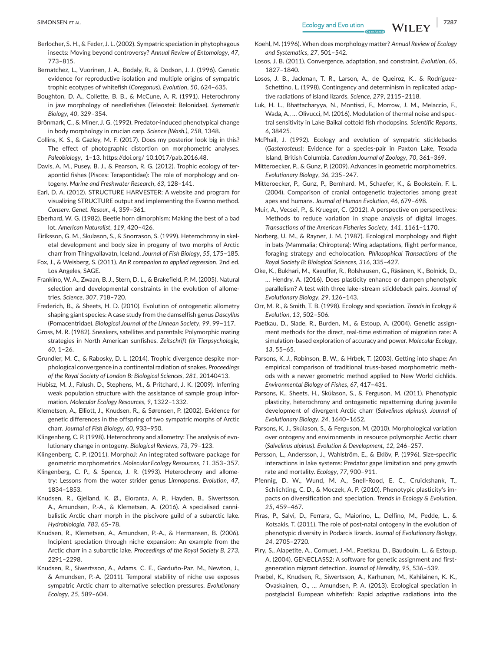**SIMONSEN** ET AL. **1998 1999 1999 1999 1999 1999 1999 1999 1999 1999 1999 1999 1999 1999 1999 1999 1999 1999 1999 1999 1999 1999 1999 1999 1999 1999 1999 1999 1999**

- Berlocher, S. H., & Feder, J. L. (2002). Sympatric speciation in phytophagous insects: Moving beyond controversy? *Annual Review of Entomology*, *47*, 773–815.
- Bernatchez, L., Vuorinen, J. A., Bodaly, R., & Dodson, J. J. (1996). Genetic evidence for reproductive isolation and multiple origins of sympatric trophic ecotypes of whitefish (*Coregonus*). *Evolution*, *50*, 624–635.
- Boughton, D. A., Collette, B. B., & McCune, A. R. (1991). Heterochrony in jaw morphology of needlefishes (Teleostei: Belonidae). *Systematic Biology*, *40*, 329–354.
- Brönmark, C., & Miner, J. G. (1992). Predator-induced phenotypical change in body morphology in crucian carp. *Science (Wash.)*, *258*, 1348.
- Collins, K. S., & Gazley, M. F. (2017). Does my posterior look big in this? The effect of photographic distortion on morphometric analyses. *Paleobiology*, 1–13. https://doi.org/ [10.1017/pab.2016.48](https://doi.org/10.1017/pab.2016.48).
- Davis, A. M., Pusey, B. J., & Pearson, R. G. (2012). Trophic ecology of terapontid fishes (Pisces: Terapontidae): The role of morphology and ontogeny. *Marine and Freshwater Research*, *63*, 128–141.
- Earl, D. A. (2012). STRUCTURE HARVESTER: A website and program for visualizing STRUCTURE output and implementing the Evanno method. *Conserv. Genet. Resour.*, *4*, 359–361.
- Eberhard, W. G. (1982). Beetle horn dimorphism: Making the best of a bad lot. *American Naturalist*, *119*, 420–426.
- Eiríksson, G. M., Skulason, S., & Snorrason, S. (1999). Heterochrony in skeletal development and body size in progeny of two morphs of Arctic charr from Thingvallavatn, Iceland. *Journal of Fish Biology*, *55*, 175–185.
- Fox, J., & Weisberg, S. (2011). *An R companion to applied regression*, 2nd ed. Los Angeles, SAGE.
- Frankino, W. A., Zwaan, B. J., Stern, D. L., & Brakefield, P. M. (2005). Natural selection and developmental constraints in the evolution of allometries. *Science*, *307*, 718–720.
- Frederich, B., & Sheets, H. D. (2010). Evolution of ontogenetic allometry shaping giant species: A case study from the damselfish genus *Dascyllus* (Pomacentridae). *Biological Journal of the Linnean Society*, *99*, 99–117.
- Gross, M. R. (1982). Sneakers, satellites and parentals: Polymorphic mating strategies in North American sunfishes. *Zeitschrift für Tierpsychologie*, *60*, 1–26.
- Grundler, M. C., & Rabosky, D. L. (2014). Trophic divergence despite morphological convergence in a continental radiation of snakes. *Proceedings of the Royal Society of London B: Biological Sciences*, *281*, 20140413.
- Hubisz, M. J., Falush, D., Stephens, M., & Pritchard, J. K. (2009). Inferring weak population structure with the assistance of sample group information. *Molecular Ecology Resources*, *9*, 1322–1332.
- Klemetsen, A., Elliott, J., Knudsen, R., & Sørensen, P. (2002). Evidence for genetic differences in the offspring of two sympatric morphs of Arctic charr. *Journal of Fish Biology*, *60*, 933–950.
- Klingenberg, C. P. (1998). Heterochrony and allometry: The analysis of evolutionary change in ontogeny. *Biological Reviews*, *73*, 79–123.
- Klingenberg, C. P. (2011). MorphoJ: An integrated software package for geometric morphometrics. *Molecular Ecology Resources*, *11*, 353–357.
- Klingenberg, C. P., & Spence, J. R. (1993). Heterochrony and allometry: Lessons from the water strider genus *Limnoporus*. *Evolution*, *47*, 1834–1853.
- Knudsen, R., Gjelland, K. Ø., Eloranta, A. P., Hayden, B., Siwertsson, A., Amundsen, P.-A., & Klemetsen, A. (2016). A specialised cannibalistic Arctic charr morph in the piscivore guild of a subarctic lake. *Hydrobiologia*, *783*, 65–78.
- Knudsen, R., Klemetsen, A., Amundsen, P.-A., & Hermansen, B. (2006). Incipient speciation through niche expansion: An example from the Arctic charr in a subarctic lake. *Proceedings of the Royal Society B*, *273*, 2291–2298.
- Knudsen, R., Siwertsson, A., Adams, C. E., Garduño-Paz, M., Newton, J., & Amundsen, P.-A. (2011). Temporal stability of niche use exposes sympatric Arctic charr to alternative selection pressures. *Evolutionary Ecology*, *25*, 589–604.
- Koehl, M. (1996). When does morphology matter? *Annual Review of Ecology and Systematics*, *27*, 501–542.
- Losos, J. B. (2011). Convergence, adaptation, and constraint. *Evolution*, *65*, 1827–1840.
- Losos, J. B., Jackman, T. R., Larson, A., de Queiroz, K., & Rodríguez-Schettino, L. (1998). Contingency and determinism in replicated adaptive radiations of island lizards. *Science*, *279*, 2115–2118.
- Luk, H. L., Bhattacharyya, N., Montisci, F., Morrow, J. M., Melaccio, F., Wada, A., … Olivucci, M. (2016). Modulation of thermal noise and spectral sensitivity in Lake Baikal cottoid fish rhodopsins. *Scientific Reports*, *6*, 38425.
- McPhail, J. (1992). Ecology and evolution of sympatric sticklebacks (*Gasterosteus*): Evidence for a species-pair in Paxton Lake, Texada Island, British Columbia. *Canadian Journal of Zoology*, *70*, 361–369.
- Mitteroecker, P., & Gunz, P. (2009). Advances in geometric morphometrics. *Evolutionary Biology*, *36*, 235–247.
- Mitteroecker, P., Gunz, P., Bernhard, M., Schaefer, K., & Bookstein, F. L. (2004). Comparison of cranial ontogenetic trajectories among great apes and humans. *Journal of Human Evolution*, *46*, 679–698.
- Muir, A., Vecsei, P., & Krueger, C. (2012). A perspective on perspectives: Methods to reduce variation in shape analysis of digital images. *Transactions of the American Fisheries Society*, *141*, 1161–1170.
- Norberg, U. M., & Rayner, J. M. (1987). Ecological morphology and flight in bats (Mammalia; Chiroptera): Wing adaptations, flight performance, foraging strategy and echolocation. *Philosophical Transactions of the Royal Society B: Biological Sciences*, *316*, 335–427.
- Oke, K., Bukhari, M., Kaeuffer, R., Rolshausen, G., Räsänen, K., Bolnick, D., … Hendry, A. (2016). Does plasticity enhance or dampen phenotypic parallelism? A test with three lake–stream stickleback pairs. *Journal of Evolutionary Biology*, *29*, 126–143.
- Orr, M. R., & Smith, T. B. (1998). Ecology and speciation. *Trends in Ecology & Evolution*, *13*, 502–506.
- Paetkau, D., Slade, R., Burden, M., & Estoup, A. (2004). Genetic assignment methods for the direct, real-time estimation of migration rate: A simulation-based exploration of accuracy and power. *Molecular Ecology*, *13*, 55–65.
- Parsons, K. J., Robinson, B. W., & Hrbek, T. (2003). Getting into shape: An empirical comparison of traditional truss-based morphometric methods with a newer geometric method applied to New World cichlids. *Environmental Biology of Fishes*, *67*, 417–431.
- Parsons, K., Sheets, H., Skúlason, S., & Ferguson, M. (2011). Phenotypic plasticity, heterochrony and ontogenetic repatterning during juvenile development of divergent Arctic charr (*Salvelinus alpinus*). *Journal of Evolutionary Biology*, *24*, 1640–1652.
- Parsons, K. J., Skúlason, S., & Ferguson, M. (2010). Morphological variation over ontogeny and environments in resource polymorphic Arctic charr (*Salvelinus alpinus*). *Evolution & Development*, *12*, 246–257.
- Persson, L., Andersson, J., Wahlström, E., & Eklöv, P. (1996). Size-specific interactions in lake systems: Predator gape limitation and prey growth rate and mortality. *Ecology*, *77*, 900–911.
- Pfennig, D. W., Wund, M. A., Snell-Rood, E. C., Cruickshank, T., Schlichting, C. D., & Moczek, A. P. (2010). Phenotypic plasticity's impacts on diversification and speciation. *Trends in Ecology & Evolution*, *25*, 459–467.
- Piras, P., Salvi, D., Ferrara, G., Maiorino, L., Delfino, M., Pedde, L., & Kotsakis, T. (2011). The role of post-natal ontogeny in the evolution of phenotypic diversity in Podarcis lizards. *Journal of Evolutionary Biology*, *24*, 2705–2720.
- Piry, S., Alapetite, A., Cornuet, J.-M., Paetkau, D., Baudouin, L., & Estoup, A. (2004). GENECLASS2: A software for genetic assignment and firstgeneration migrant detection. *Journal of Heredity*, *95*, 536–539.
- Præbel, K., Knudsen, R., Siwertsson, A., Karhunen, M., Kahilainen, K. K., Ovaskainen, O., … Amundsen, P. A. (2013). Ecological speciation in postglacial European whitefish: Rapid adaptive radiations into the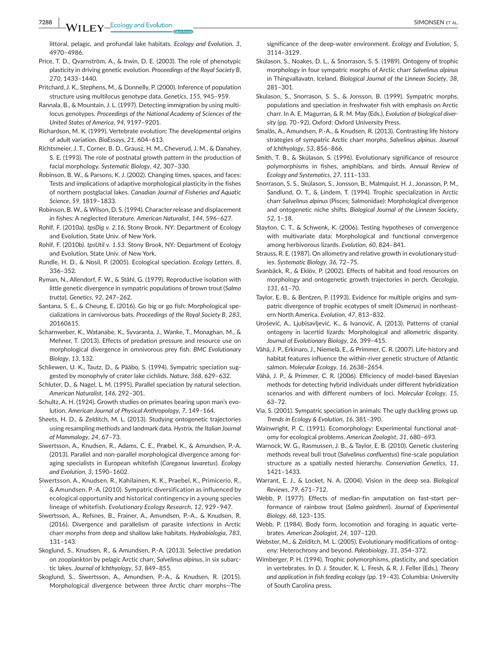littoral, pelagic, and profundal lake habitats. *Ecology and Evolution*, *3*, 4970–4986.

- Price, T. D., Qvarnström, A., & Irwin, D. E. (2003). The role of phenotypic plasticity in driving genetic evolution. *Proceedings of the Royal Society B*, *270*, 1433–1440.
- Pritchard, J. K., Stephens, M., & Donnelly, P. (2000). Inference of population structure using multilocus genotype data. *Genetics*, *155*, 945–959.
- Rannala, B., & Mountain, J. L. (1997). Detecting immigration by using multilocus genotypes. *Proceedings of the National Academy of Sciences of the United States of America*, *94*, 9197–9201.
- Richardson, M. K. (1999). Vertebrate evolution: The developmental origins of adult variation. *BioEssays*, *21*, 604–613.
- Richtsmeier, J. T., Corner, B. D., Grausz, H. M., Cheverud, J. M., & Danahey, S. E. (1993). The role of postnatal growth pattern in the production of facial morphology. *Systematic Biology*, *42*, 307–330.
- Robinson, B. W., & Parsons, K. J. (2002). Changing times, spaces, and faces: Tests and implications of adaptive morphological plasticity in the fishes of northern postglacial lakes. *Canadian Journal of Fisheries and Aquatic Science*, *59*, 1819–1833.
- Robinson, B. W., & Wilson, D. S. (1994). Character release and displacement in fishes: A neglected literature. *American Naturalist*, *144*, 596–627.
- Rohlf, F. (2010a). *tpsDig v. 2.16*, Stony Brook, NY: Department of Ecology and Evolution, State Univ. of New York.
- Rohlf, F. (2010b). *tpsUtil v. 1.53*. Stony Brook, NY: Department of Ecology and Evolution, State Univ. of New York.
- Rundle, H. D., & Nosil, P. (2005). Ecological speciation. *Ecology Letters*, *8*, 336–352.
- Ryman, N., Allendorf, F. W., & Ståhl, G. (1979). Reproductive isolation with little genetic divergence in sympatric populations of brown trout (*Salmo trutta*). *Genetics*, *92*, 247–262.
- Santana, S. E., & Cheung, E. (2016). Go big or go fish: Morphological specializations in carnivorous bats. *Proceedings of the Royal Society B*, *283*, 20160615.
- Scharnweber, K., Watanabe, K., Syvaranta, J., Wanke, T., Monaghan, M., & Mehner, T. (2013). Effects of predation pressure and resource use on morphological divergence in omnivorous prey fish. *BMC Evolutionary Biology*, *13*, 132.
- Schliewen, U. K., Tautz, D., & Pääbo, S. (1994). Sympatric speciation suggested by monophyly of crater lake cichlids. *Nature*, *368*, 629–632.
- Schluter, D., & Nagel, L. M. (1995). Parallel speciation by natural selection. *American Naturalist*, *146*, 292–301.
- Schultz, A. H. (1924). Growth studies on primates bearing upon man's evolution. *American Journal of Physical Anthropology*, *7*, 149–164.
- Sheets, H. D., & Zelditch, M. L. (2013). Studying ontogenetic trajectories using resampling methods and landmark data. *Hystrix, the Italian Journal of Mammalogy*, *24*, 67–73.
- Siwertsson, A., Knudsen, R., Adams, C. E., Præbel, K., & Amundsen, P.-A. (2013). Parallel and non-parallel morphological divergence among foraging specialists in European whitefish (*Coregonus lavaretus*). *Ecology and Evolution*, *3*, 1590–1602.
- Siwertsson, A., Knudsen, R., Kahilainen, K. K., Praebel, K., Primicerio, R., & Amundsen, P.-A. (2010). Sympatric diversification as influenced by ecological opportunity and historical contingency in a young species lineage of whitefish. *Evolutionary Ecology Research*, *12*, 929–947.
- Siwertsson, A., Refsnes, B., Frainer, A., Amundsen, P.-A., & Knudsen, R. (2016). Divergence and parallelism of parasite infections in Arctic charr morphs from deep and shallow lake habitats. *Hydrobiologia*, *783*, 131–143.
- Skoglund, S., Knudsen, R., & Amundsen, P.-A. (2013). Selective predation on zooplankton by pelagic Arctic charr, *Salvelinus alpinus*, in six subarctic lakes. *Journal of Ichthyology*, *53*, 849–855.
- Skoglund, S., Siwertsson, A., Amundsen, P.-A., & Knudsen, R. (2015). Morphological divergence between three Arctic charr morphs—The

significance of the deep-water environment. *Ecology and Evolution*, *5*, 3114–3129.

- Skúlason, S., Noakes, D. L., & Snorrason, S. S. (1989). Ontogeny of trophic morphology in four sympatric morphs of Arctic charr *Salvelinus alpinus* in Thingvallavatn, Iceland. *Biological Journal of the Linnean Society*, *38*, 281–301.
- Skulason, S., Snorrason, S. S., & Jonsson, B. (1999). Sympatric morphs, populations and speciation in freshwater fish with emphasis on Arctic charr. In A. E. Magurran, & R. M. May (Eds.), *Evolution of biological diversity* (pp. 70–92). Oxford: Oxford University Press.
- Smalås, A., Amundsen, P.-A., & Knudsen, R. (2013). Contrasting life history strategies of sympatric Arctic charr morphs, *Salvelinus alpinus*. *Journal of Ichthyology*, *53*, 856–866.
- Smith, T. B., & Skúlason, S. (1996). Evolutionary significance of resource polymorphisms in fishes, amphibians, and birds. *Annual Review of Ecology and Systematics*, *27*, 111–133.
- Snorrason, S. S., Skúlason, S., Jonsson, B., Malmquist, H. J., Jonasson, P. M., Sandlund, O. T., & Lindem, T. (1994). Trophic specialization in Arctic charr *Salvelinus alpinus* (Pisces; Salmonidae): Morphological divergence and ontogenetic niche shifts. *Biological Journal of the Linnean Society*, *52*, 1–18.
- Stayton, C. T., & Schwenk, K. (2006). Testing hypotheses of convergence with multivariate data: Morphological and functional convergence among herbivorous lizards. *Evolution*, *60*, 824–841.
- Strauss, R. E. (1987). On allometry and relative growth in evolutionary studies. *Systematic Biology*, *36*, 72–75.
- Svanbäck, R., & Eklöv, P. (2002). Effects of habitat and food resources on morphology and ontogenetic growth trajectories in perch. *Oecologia*, *131*, 61–70.
- Taylor, E. B., & Bentzen, P. (1993). Evidence for multiple origins and sympatric divergence of trophic ecotypes of smelt (*Osmerus*) in northeastern North America. *Evolution*, *47*, 813–832.
- Urošević, A., Ljubisavljević, K., & Ivanović, A. (2013). Patterns of cranial ontogeny in lacertid lizards: Morphological and allometric disparity. *Journal of Evolutionary Biology*, *26*, 399–415.
- Vähä, J. P., Erkinaro, J., Niemelä, E., & Primmer, C. R. (2007). Life-history and habitat features influence the within-river genetic structure of Atlantic salmon. *Molecular Ecology*, *16*, 2638–2654.
- Vähä, J. P., & Primmer, C. R. (2006). Efficiency of model-based Bayesian methods for detecting hybrid individuals under different hybridization scenarios and with different numbers of loci. *Molecular Ecology*, *15*, 63–72.
- Via, S. (2001). Sympatric speciation in animals: The ugly duckling grows up. *Trends in Ecology & Evolution*, *16*, 381–390.
- Wainwright, P. C. (1991). Ecomorphology: Experimental functional anatomy for ecological problems. *American Zoologist*, *31*, 680–693.
- Warnock, W. G., Rasmussen, J. B., & Taylor, E. B. (2010). Genetic clustering methods reveal bull trout (*Salvelinus confluentus*) fine-scale population structure as a spatially nested hierarchy. *Conservation Genetics*, *11*, 1421–1433.
- Warrant, E. J., & Locket, N. A. (2004). Vision in the deep sea. *Biological Reviews*, *79*, 671–712.
- Webb, P. (1977). Effects of median-fin amputation on fast-start performance of rainbow trout (*Salmo gairdneri*). *Journal of Experimental Biology*, *68*, 123–135.
- Webb, P. (1984). Body form, locomotion and foraging in aquatic vertebrates. *American Zoologist*, *24*, 107–120.
- Webster, M., & Zelditch, M. L. (2005). Evolutionary modifications of ontogeny: Heterochrony and beyond. *Paleobiology*, *31*, 354–372.
- Wimberger, P. H. (1994). Trophic polymorphisms, plasticity, and speciation in vertebrates. In D. J. Stouder, K. L. Fresh, & R. J. Feller (Eds.), *Theory and application in fish feeding ecology* (pp. 19–43). Columbia: University of South Carolina press.